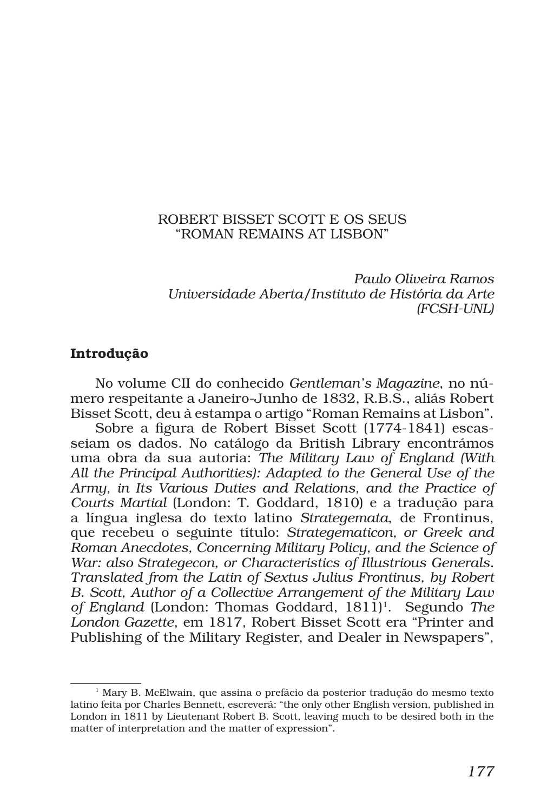## ROBERT BISSET SCOTT E OS SEUS "ROMAN REMAINS AT LISBON"

*Paulo Oliveira Ramos Universidade Aberta/Instituto de História da Arte (FCSH-UNL)*

### Introdução

No volume CII do conhecido *Gentleman's Magazine*, no número respeitante a Janeiro-Junho de 1832, R.B.S., aliás Robert Bisset Scott, deu à estampa o artigo "Roman Remains at Lisbon".

Sobre a figura de Robert Bisset Scott (1774-1841) escasseiam os dados. No catálogo da British Library encontrámos uma obra da sua autoria: *The Military Law of England (With All the Principal Authorities): Adapted to the General Use of the Army, in Its Various Duties and Relations, and the Practice of Courts Martial* (London: T. Goddard, 1810) e a tradução para a língua inglesa do texto latino *Strategemata*, de Frontinus, que recebeu o seguinte título: *Strategematicon, or Greek and Roman Anecdotes, Concerning Military Policy, and the Science of War: also Strategecon, or Characteristics of Illustrious Generals. Translated from the Latin of Sextus Julius Frontinus, by Robert B. Scott, Author of a Collective Arrangement of the Military Law of England* (London: Thomas Goddard, 1811)<sup>1</sup>. Segundo *The London Gazette*, em 1817, Robert Bisset Scott era "Printer and Publishing of the Military Register, and Dealer in Newspapers",

<sup>&</sup>lt;sup>1</sup> Mary B. McElwain, que assina o prefácio da posterior tradução do mesmo texto latino feita por Charles Bennett, escreverá: "the only other English version, published in London in 1811 by Lieutenant Robert B. Scott, leaving much to be desired both in the matter of interpretation and the matter of expression".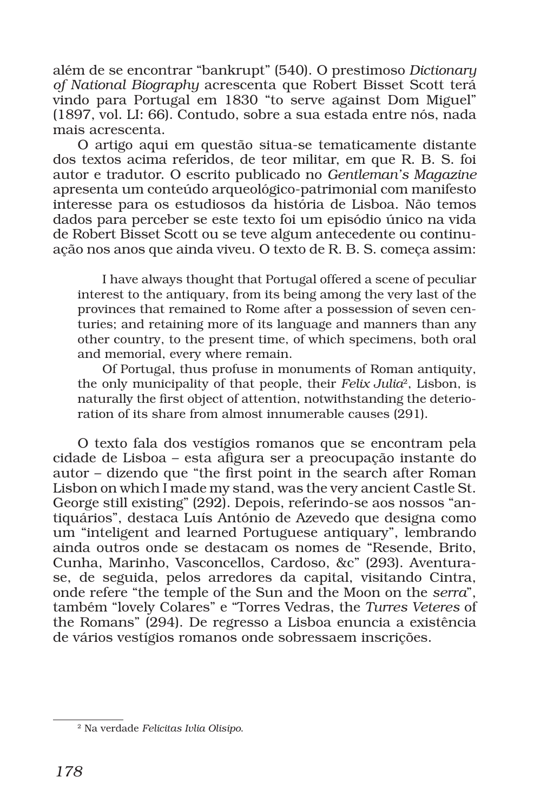além de se encontrar "bankrupt" (540). O prestimoso *Dictionary of National Biography* acrescenta que Robert Bisset Scott terá vindo para Portugal em 1830 "to serve against Dom Miguel" (1897, vol. LI: 66). Contudo, sobre a sua estada entre nós, nada mais acrescenta.

O artigo aqui em questão situa-se tematicamente distante dos textos acima referidos, de teor militar, em que R. B. S. foi autor e tradutor. O escrito publicado no *Gentleman's Magazine*  apresenta um conteúdo arqueológico-patrimonial com manifesto interesse para os estudiosos da história de Lisboa. Não temos dados para perceber se este texto foi um episódio único na vida de Robert Bisset Scott ou se teve algum antecedente ou continuação nos anos que ainda viveu. O texto de R. B. S. começa assim:

I have always thought that Portugal offered a scene of peculiar interest to the antiquary, from its being among the very last of the provinces that remained to Rome after a possession of seven centuries; and retaining more of its language and manners than any other country, to the present time, of which specimens, both oral and memorial, every where remain.

Of Portugal, thus profuse in monuments of Roman antiquity, the only municipality of that people, their *Felix Julia*2, Lisbon, is naturally the first object of attention, notwithstanding the deterioration of its share from almost innumerable causes (291).

O texto fala dos vestígios romanos que se encontram pela cidade de Lisboa – esta afigura ser a preocupação instante do autor – dizendo que "the first point in the search after Roman Lisbon on which I made my stand, was the very ancient Castle St. George still existing" (292). Depois, referindo-se aos nossos "antiquários", destaca Luís António de Azevedo que designa como um "inteligent and learned Portuguese antiquary", lembrando ainda outros onde se destacam os nomes de "Resende, Brito, Cunha, Marinho, Vasconcellos, Cardoso, &c" (293). Aventurase, de seguida, pelos arredores da capital, visitando Cintra, onde refere "the temple of the Sun and the Moon on the *serra*", também "lovely Colares" e "Torres Vedras, the *Turres Veteres* of the Romans" (294). De regresso a Lisboa enuncia a existência de vários vestígios romanos onde sobressaem inscrições.

<sup>2</sup> Na verdade *Felicitas Ivlia Olisipo*.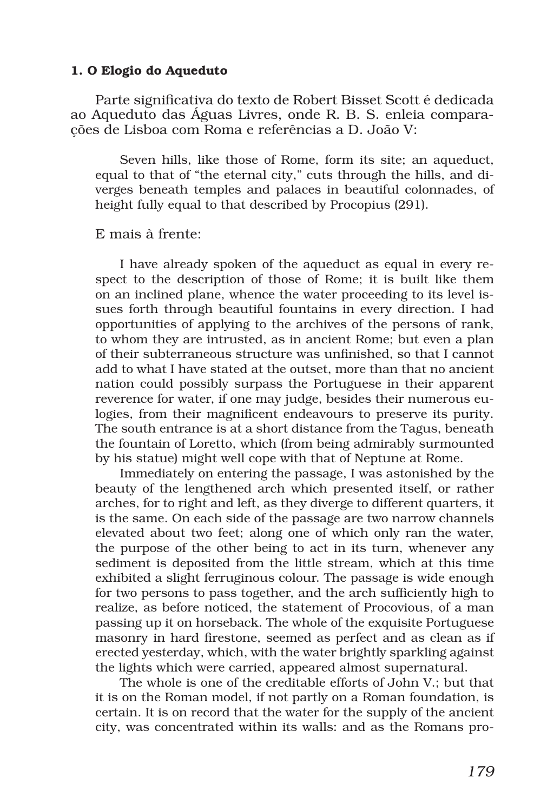### 1. O Elogio do Aqueduto

Parte significativa do texto de Robert Bisset Scott é dedicada ao Aqueduto das Águas Livres, onde R. B. S. enleia comparações de Lisboa com Roma e referências a D. João V:

Seven hills, like those of Rome, form its site; an aqueduct, equal to that of "the eternal city," cuts through the hills, and diverges beneath temples and palaces in beautiful colonnades, of height fully equal to that described by Procopius (291).

### E mais à frente:

I have already spoken of the aqueduct as equal in every respect to the description of those of Rome; it is built like them on an inclined plane, whence the water proceeding to its level issues forth through beautiful fountains in every direction. I had opportunities of applying to the archives of the persons of rank, to whom they are intrusted, as in ancient Rome; but even a plan of their subterraneous structure was unfinished, so that I cannot add to what I have stated at the outset, more than that no ancient nation could possibly surpass the Portuguese in their apparent reverence for water, if one may judge, besides their numerous eulogies, from their magnificent endeavours to preserve its purity. The south entrance is at a short distance from the Tagus, beneath the fountain of Loretto, which (from being admirably surmounted by his statue) might well cope with that of Neptune at Rome.

Immediately on entering the passage, I was astonished by the beauty of the lengthened arch which presented itself, or rather arches, for to right and left, as they diverge to different quarters, it is the same. On each side of the passage are two narrow channels elevated about two feet; along one of which only ran the water, the purpose of the other being to act in its turn, whenever any sediment is deposited from the little stream, which at this time exhibited a slight ferruginous colour. The passage is wide enough for two persons to pass together, and the arch sufficiently high to realize, as before noticed, the statement of Procovious, of a man passing up it on horseback. The whole of the exquisite Portuguese masonry in hard firestone, seemed as perfect and as clean as if erected yesterday, which, with the water brightly sparkling against the lights which were carried, appeared almost supernatural.

The whole is one of the creditable efforts of John V.; but that it is on the Roman model, if not partly on a Roman foundation, is certain. It is on record that the water for the supply of the ancient city, was concentrated within its walls: and as the Romans pro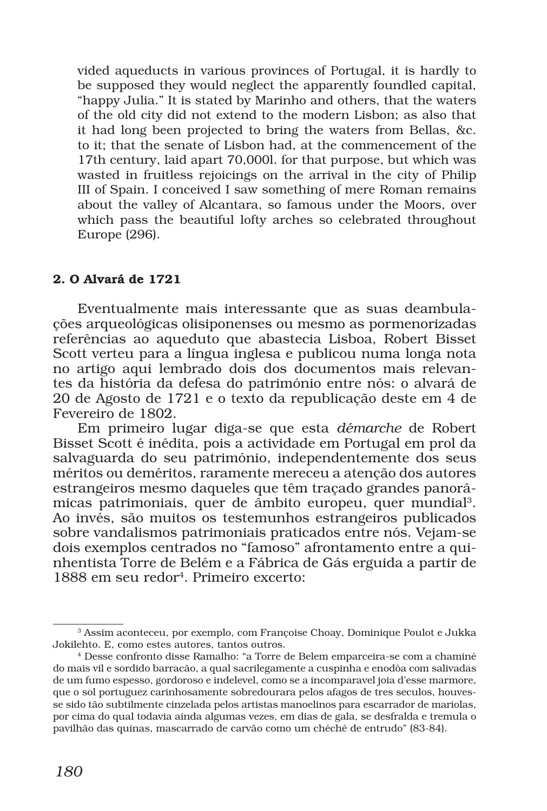vided aqueducts in various provinces of Portugal, it is hardly to be supposed they would neglect the apparently foundled capital, "happy Julia." It is stated by Marinho and others, that the waters of the old city did not extend to the modern Lisbon; as also that it had long been projected to bring the waters from Bellas, &c. to it; that the senate of Lisbon had, at the commencement of the 17th century, laid apart 70,000l. for that purpose, but which was wasted in fruitless rejoicings on the arrival in the city of Philip III of Spain. I conceived I saw something of mere Roman remains about the valley of Alcantara, so famous under the Moors, over which pass the beautiful lofty arches so celebrated throughout Europe (296).

### 2. O Alvará de 1721

Eventualmente mais interessante que as suas deambulações arqueológicas olisiponenses ou mesmo as pormenorizadas referências ao aqueduto que abastecia Lisboa, Robert Bisset Scott verteu para a língua inglesa e publicou numa longa nota no artigo aqui lembrado dois dos documentos mais relevantes da história da defesa do património entre nós: o alvará de 20 de Agosto de 1721 e o texto da republicação deste em 4 de Fevereiro de 1802.

Em primeiro lugar diga-se que esta *démarche* de Robert Bisset Scott é inédita, pois a actividade em Portugal em prol da salvaguarda do seu património, independentemente dos seus méritos ou deméritos, raramente mereceu a atenção dos autores estrangeiros mesmo daqueles que têm traçado grandes panorâmicas patrimoniais, quer de âmbito europeu, quer mundial<sup>3</sup>. Ao invés, são muitos os testemunhos estrangeiros publicados sobre vandalismos patrimoniais praticados entre nós. Vejam-se dois exemplos centrados no "famoso" afrontamento entre a quinhentista Torre de Belém e a Fábrica de Gás erguida a partir de 1888 em seu redor4. Primeiro excerto:

<sup>3</sup> Assim aconteceu, por exemplo, com Françoise Choay, Dominique Poulot e Jukka Jokilehto. E, como estes autores, tantos outros.

<sup>4</sup> Desse confronto disse Ramalho: "a Torre de Belem emparceira-se com a chaminé do mais vil e sordido barracão, a qual sacrilegamente a cuspinha e enodôa com salivadas de um fumo espesso, gordoroso e indelevel, como se a incomparavel joia d'esse marmore, que o sol portuguez carinhosamente sobredourara pelos afagos de tres seculos, houvesse sido tão subtilmente cinzelada pelos artistas manoelinos para escarrador de mariolas, por cima do qual todavia ainda algumas vezes, em dias de gala, se desfralda e tremula o pavilhão das quinas, mascarrado de carvão como um chéché de entrudo" (83-84).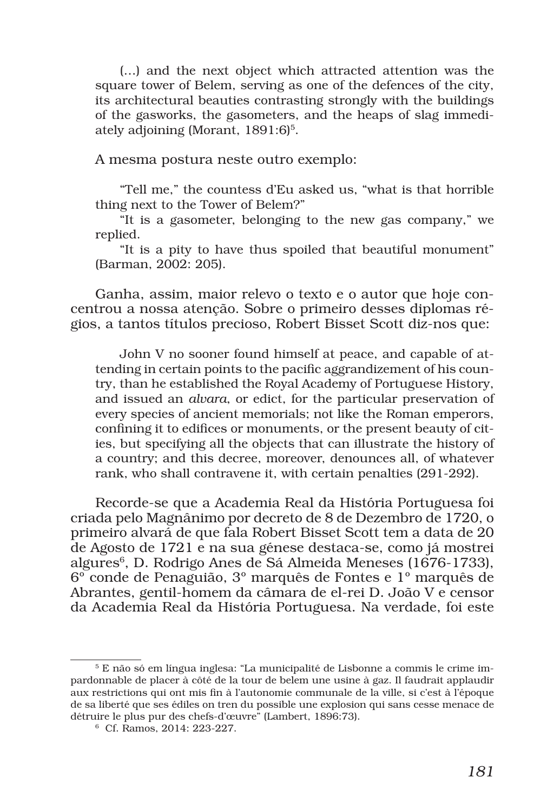(…) and the next object which attracted attention was the square tower of Belem, serving as one of the defences of the city, its architectural beauties contrasting strongly with the buildings of the gasworks, the gasometers, and the heaps of slag immediately adjoining (Morant, 1891:6)5.

A mesma postura neste outro exemplo:

"Tell me," the countess d'Eu asked us, "what is that horrible thing next to the Tower of Belem?"

"It is a gasometer, belonging to the new gas company," we replied.

"It is a pity to have thus spoiled that beautiful monument" (Barman, 2002: 205).

Ganha, assim, maior relevo o texto e o autor que hoje concentrou a nossa atenção. Sobre o primeiro desses diplomas régios, a tantos títulos precioso, Robert Bisset Scott diz-nos que:

John V no sooner found himself at peace, and capable of attending in certain points to the pacific aggrandizement of his country, than he established the Royal Academy of Portuguese History, and issued an *alvara*, or edict, for the particular preservation of every species of ancient memorials; not like the Roman emperors, confining it to edifices or monuments, or the present beauty of cities, but specifying all the objects that can illustrate the history of a country; and this decree, moreover, denounces all, of whatever rank, who shall contravene it, with certain penalties (291-292).

Recorde-se que a Academia Real da História Portuguesa foi criada pelo Magnânimo por decreto de 8 de Dezembro de 1720, o primeiro alvará de que fala Robert Bisset Scott tem a data de 20 de Agosto de 1721 e na sua génese destaca-se, como já mostrei algures<sup>6</sup>, D. Rodrigo Anes de Sá Almeida Meneses (1676-1733), 6º conde de Penaguião, 3º marquês de Fontes e 1º marquês de Abrantes, gentil-homem da câmara de el-rei D. João V e censor da Academia Real da História Portuguesa. Na verdade, foi este

<sup>5</sup> E não só em língua inglesa: "La municipalité de Lisbonne a commis le crime impardonnable de placer à côté de la tour de belem une usine à gaz. Il faudrait applaudir aux restrictions qui ont mis fin à l'autonomie communale de la ville, si c'est à l'époque de sa liberté que ses édiles on tren du possible une explosion qui sans cesse menace de détruire le plus pur des chefs-d'œuvre" (Lambert, 1896:73).

<sup>6</sup> Cf. Ramos, 2014: 223-227.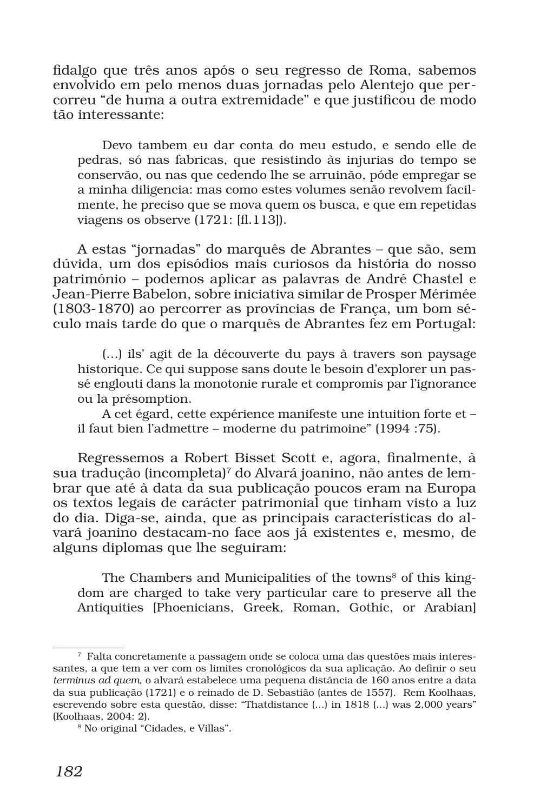fidalgo que três anos após o seu regresso de Roma, sabemos envolvido em pelo menos duas jornadas pelo Alentejo que percorreu "de huma a outra extremidade" e que justificou de modo tão interessante:

Devo tambem eu dar conta do meu estudo, e sendo elle de pedras, só nas fabricas, que resistindo às injurias do tempo se conservão, ou nas que cedendo lhe se arruinão, póde empregar se a minha diligencia: mas como estes volumes senão revolvem facilmente, he preciso que se mova quem os busca, e que em repetidas viagens os observe (1721: [fl.113]).

A estas "jornadas" do marquês de Abrantes – que são, sem dúvida, um dos episódios mais curiosos da história do nosso património – podemos aplicar as palavras de André Chastel e Jean-Pierre Babelon, sobre iniciativa similar de Prosper Mérimée (1803-1870) ao percorrer as províncias de França, um bom século mais tarde do que o marquês de Abrantes fez em Portugal:

(…) ils' agit de la découverte du pays à travers son paysage historique. Ce qui suppose sans doute le besoin d'explorer un passé englouti dans la monotonie rurale et compromis par l'ignorance ou la présomption.

A cet égard, cette expérience manifeste une intuition forte et – il faut bien l'admettre – moderne du patrimoine" (1994 :75).

Regressemos a Robert Bisset Scott e, agora, finalmente, à sua tradução (incompleta)<sup>7</sup> do Alvará joanino, não antes de lembrar que até à data da sua publicação poucos eram na Europa os textos legais de carácter patrimonial que tinham visto a luz do dia. Diga-se, ainda, que as principais características do alvará joanino destacam-no face aos já existentes e, mesmo, de alguns diplomas que lhe seguiram:

The Chambers and Municipalities of the towns<sup>8</sup> of this kingdom are charged to take very particular care to preserve all the Antiquities [Phoenicians, Greek, Roman, Gothic, or Arabian]

<sup>7</sup> Falta concretamente a passagem onde se coloca uma das questões mais interessantes, a que tem a ver com os limites cronológicos da sua aplicação. Ao definir o seu *terminus ad quem*, o alvará estabelece uma pequena distância de 160 anos entre a data da sua publicação (1721) e o reinado de D. Sebastião (antes de 1557). Rem Koolhaas, escrevendo sobre esta questão, disse: "Thatdistance (...) in 1818 (...) was 2,000 years" (Koolhaas, 2004: 2).

<sup>8</sup> No original "Cidades, e Villas".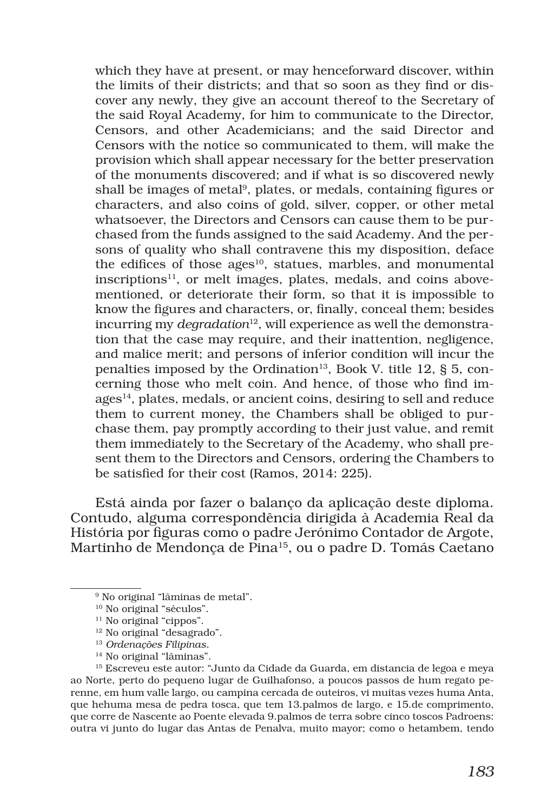which they have at present, or may henceforward discover, within the limits of their districts; and that so soon as they find or discover any newly, they give an account thereof to the Secretary of the said Royal Academy, for him to communicate to the Director, Censors, and other Academicians; and the said Director and Censors with the notice so communicated to them, will make the provision which shall appear necessary for the better preservation of the monuments discovered; and if what is so discovered newly shall be images of metal<sup>9</sup>, plates, or medals, containing figures or characters, and also coins of gold, silver, copper, or other metal whatsoever, the Directors and Censors can cause them to be purchased from the funds assigned to the said Academy. And the persons of quality who shall contravene this my disposition, deface the edifices of those ages<sup>10</sup>, statues, marbles, and monumental inscriptions<sup>11</sup>, or melt images, plates, medals, and coins abovementioned, or deteriorate their form, so that it is impossible to know the figures and characters, or, finally, conceal them; besides incurring my *degradation*<sup>12</sup>, will experience as well the demonstration that the case may require, and their inattention, negligence, and malice merit; and persons of inferior condition will incur the penalties imposed by the Ordination<sup>13</sup>, Book V. title 12,  $\S$  5, concerning those who melt coin. And hence, of those who find im $a$ ges<sup>14</sup>, plates, medals, or ancient coins, desiring to sell and reduce them to current money, the Chambers shall be obliged to purchase them, pay promptly according to their just value, and remit them immediately to the Secretary of the Academy, who shall present them to the Directors and Censors, ordering the Chambers to be satisfied for their cost (Ramos, 2014: 225).

Está ainda por fazer o balanço da aplicação deste diploma. Contudo, alguma correspondência dirigida à Academia Real da História por figuras como o padre Jerónimo Contador de Argote, Martinho de Mendonça de Pina<sup>15</sup>, ou o padre D. Tomás Caetano

<sup>9</sup> No original "lâminas de metal".

<sup>10</sup> No original "séculos".

<sup>&</sup>lt;sup>11</sup> No original "cippos".

<sup>&</sup>lt;sup>12</sup> No original "desagrado".

<sup>13</sup> *Ordenações Filipinas.*

<sup>&</sup>lt;sup>14</sup> No original "lâminas".

<sup>15</sup> Escreveu este autor: "Junto da Cidade da Guarda, em distancia de legoa e meya ao Norte, perto do pequeno lugar de Guilhafonso, a poucos passos de hum regato perenne, em hum valle largo, ou campina cercada de outeiros, vi muitas vezes huma Anta, que hehuma mesa de pedra tosca, que tem 13.palmos de largo, e 15.de comprimento, que corre de Nascente ao Poente elevada 9.palmos de terra sobre cinco toscos Padroens: outra vi junto do lugar das Antas de Penalva, muito mayor; como o hetambem, tendo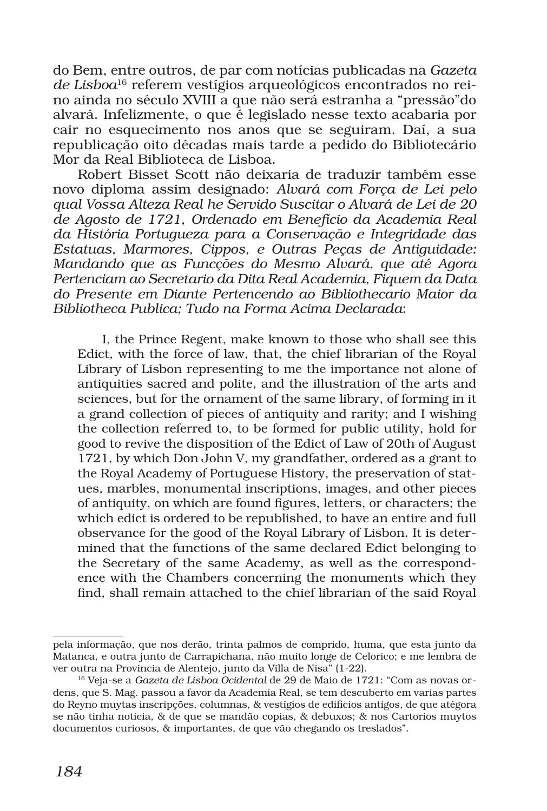do Bem, entre outros, de par com notícias publicadas na *Gazeta de Lisboa*16 referem vestígios arqueológicos encontrados no reino ainda no século XVIII a que não será estranha a "pressão"do alvará. Infelizmente, o que é legislado nesse texto acabaria por cair no esquecimento nos anos que se seguiram. Daí, a sua republicação oito décadas mais tarde a pedido do Bibliotecário Mor da Real Biblioteca de Lisboa.

Robert Bisset Scott não deixaria de traduzir também esse novo diploma assim designado: *Alvará com Força de Lei pelo qual Vossa Alteza Real he Servido Suscitar o Alvará de Lei de 20 de Agosto de 1721, Ordenado em Benefício da Academia Real da História Portugueza para a Conservação e Integridade das Estatuas, Marmores, Cippos, e Outras Peças de Antiguidade: Mandando que as Funcções do Mesmo Alvará, que até Agora Pertenciam ao Secretario da Dita Real Academia, Fiquem da Data do Presente em Diante Pertencendo ao Bibliothecario Maior da Bibliotheca Publica; Tudo na Forma Acima Declarada*:

I, the Prince Regent, make known to those who shall see this Edict, with the force of law, that, the chief librarian of the Royal Library of Lisbon representing to me the importance not alone of antiquities sacred and polite, and the illustration of the arts and sciences, but for the ornament of the same library, of forming in it a grand collection of pieces of antiquity and rarity; and I wishing the collection referred to, to be formed for public utility, hold for good to revive the disposition of the Edict of Law of 20th of August 1721, by which Don John V, my grandfather, ordered as a grant to the Royal Academy of Portuguese History, the preservation of statues, marbles, monumental inscriptions, images, and other pieces of antiquity, on which are found figures, letters, or characters; the which edict is ordered to be republished, to have an entire and full observance for the good of the Royal Library of Lisbon. It is determined that the functions of the same declared Edict belonging to the Secretary of the same Academy, as well as the correspondence with the Chambers concerning the monuments which they find, shall remain attached to the chief librarian of the said Royal

pela informação, que nos derão, trinta palmos de comprido, huma, que esta junto da Matanca, e outra junto de Carrapichana, não muito longe de Celorico; e me lembra de ver outra na Provincia de Alentejo, junto da Villa de Nisa" (1-22).

<sup>16</sup> Veja-se a *Gazeta de Lisboa Ocidental* de 29 de Maio de 1721: "Com as novas ordens, que S. Mag. passou a favor da Academia Real, se tem descuberto em varias partes do Reyno muytas inscripções, columnas, & vestígios de edificios antigos, de que atégora se não tinha noticia, & de que se mandão copias, & debuxos; & nos Cartorios muytos documentos curiosos, & importantes, de que vão chegando os treslados".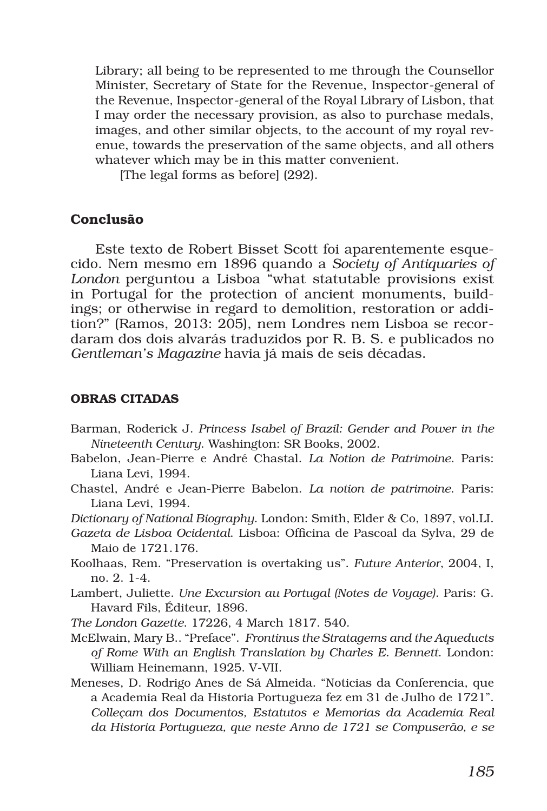Library; all being to be represented to me through the Counsellor Minister, Secretary of State for the Revenue, Inspector-general of the Revenue, Inspector-general of the Royal Library of Lisbon, that I may order the necessary provision, as also to purchase medals, images, and other similar objects, to the account of my royal revenue, towards the preservation of the same objects, and all others whatever which may be in this matter convenient.

[The legal forms as before] (292).

# Conclusão

Este texto de Robert Bisset Scott foi aparentemente esquecido. Nem mesmo em 1896 quando a *Society of Antiquaries of London* perguntou a Lisboa "what statutable provisions exist in Portugal for the protection of ancient monuments, buildings; or otherwise in regard to demolition, restoration or addition?" (Ramos, 2013: 205), nem Londres nem Lisboa se recordaram dos dois alvarás traduzidos por R. B. S. e publicados no *Gentleman's Magazine* havia já mais de seis décadas.

## OBRAS CITADAS

- Barman, Roderick J. *Princess Isabel of Brazil: Gender and Power in the Nineteenth Century*. Washington: SR Books, 2002.
- Babelon, Jean-Pierre e André Chastal. *La Notion de Patrimoine*. Paris: Liana Levi, 1994.
- Chastel, André e Jean-Pierre Babelon. *La notion de patrimoine*. Paris: Liana Levi, 1994.

*Dictionary of National Biography*. London: Smith, Elder & Co, 1897, vol.LI.

- *Gazeta de Lisboa Ocidental*. Lisboa: Officina de Pascoal da Sylva, 29 de Maio de 1721.176.
- Koolhaas, Rem. "Preservation is overtaking us". *Future Anterior*, 2004, I, no. 2. 1-4.
- Lambert, Juliette. *Une Excursion au Portugal (Notes de Voyage)*. Paris: G. Havard Fils, Éditeur, 1896.
- *The London Gazette*. 17226, 4 March 1817. 540.
- McElwain, Mary B.. "Preface". *Frontinus the Stratagems and the Aqueducts of Rome With an English Translation by Charles E. Bennett*. London: William Heinemann, 1925. V-VII.
- Meneses, D. Rodrigo Anes de Sá Almeida. "Noticias da Conferencia, que a Academia Real da Historia Portugueza fez em 31 de Julho de 1721". *Colleçam dos Documentos, Estatutos e Memorias da Academia Real da Historia Portugueza, que neste Anno de 1721 se Compuserão, e se*